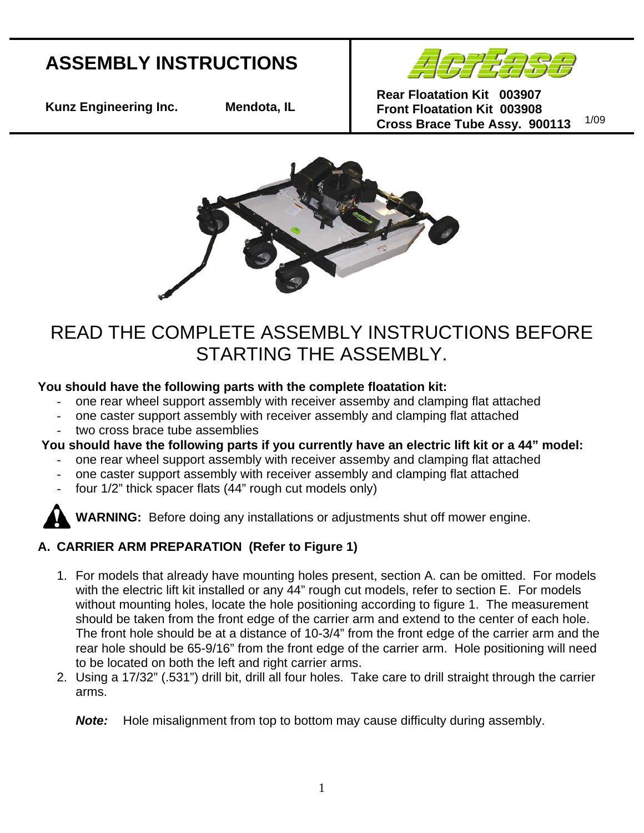# **ASSEMBLY INSTRUCTIONS**



**Kunz Engineering Inc. Mendota, IL** 

**Rear Floatation Kit 003907 Front Floatation Kit 003908 Cross Brace Tube Assy. 900113** 1/09



# READ THE COMPLETE ASSEMBLY INSTRUCTIONS BEFORE STARTING THE ASSEMBLY.

#### **Yo u should have the following parts with the complete floatation kit:**

- one rear wheel support assembly with receiver assemby and clamping flat attached
- one caster support assembly with receiver assembly and clamping flat attached
- two cross brace tube assemblies

### You should have the following parts if you currently have an electric lift kit or a 44" model:

- one rear wheel support assembly with receiver assemby and clamping flat attached
- one caster support assembly with receiver assembly and clamping flat attached
- four 1/2" thick spacer flats (44" rough cut models only)

**WARNING:** Before doing any installations or adjustments shut off mower engine.

# **A. CARRIER ARM PREPARATION (Refer to Figure 1)**

- 1. For models that already have mounting holes present, section A. can be omitted. For models with the electric lift kit installed or any 44" rough cut models, refer to section E. For models without mounting holes, locate the hole positioning according to figure 1. The measurement should be taken from the front edge of the carrier arm and extend to the center of each hole. rear hole should be 65-9/16" from the front edge of the carrier arm. Hole positioning will need The front hole should be at a distance of 10-3/4" from the front edge of the carrier arm and the to be located on both the left and right carrier arms.
- 2. Using a 17/32" (.531") drill bit, drill all four holes. Take care to drill straight through the carrier arms.

#### **Note:** Hole misalignment from top to bottom may cause difficulty during assembly.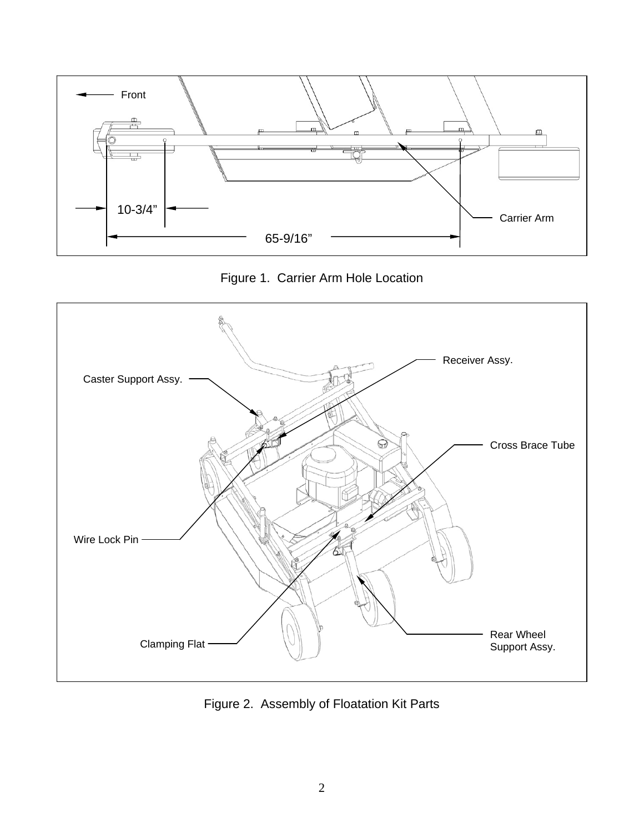

Figure 1. Carrier Arm Hole Location



Figure 2. Assembly of Floatation Kit Parts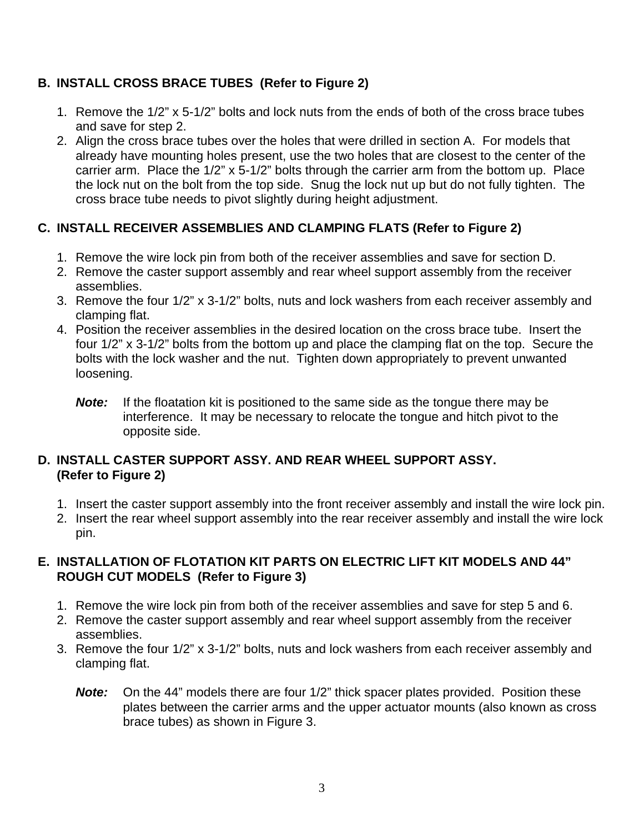### **B. INSTALL CROSS BRACE TUBES (Refer to Figure 2)**

- 1. Remove the 1/2" x 5-1/2" bolts and lock nuts from the ends of both of the cross brace tubes and save for step 2.
- 2. Align the cross brace tubes over the holes that were drilled in section A. For models that already have mounting holes present, use the two holes that are closest to the center of the carrier arm. Place the 1/2" x 5-1/2" bolts through the carrier arm from the bottom up. Place the lock nut on the bolt from the top side. Snug the lock nut up but do not fully tighten. The cross brace tube needs to pivot slightly during height adjustment.

## **C. INSTALL RECEIVER ASSEMBLIES AND CLAMPING FLATS (Refer to Figure 2)**

- 1. Remove the wire lock pin from both of the receiver assemblies and save for section D.
- 2. Remove the caster support assembly and rear wheel support assembly from the receiver assemblies.
- 3. Remove the four 1/2" x 3-1/2" bolts, nuts and lock washers from each receiver assembly and clamping flat.
- 4. Position the receiver assemblies in the desired location on the cross brace tube. Insert the four 1/2" x 3-1/2" bolts from the bottom up and place the clamping flat on the top. Secure the bolts with the lock washer and the nut. Tighten down appropriately to prevent unwanted loosening.
	- *Note:* If the floatation kit is positioned to the same side as the tongue there may be interference. It may be necessary to relocate the tongue and hitch pivot to the opposite side.

#### **D. INSTALL CASTER SUPPORT ASSY. AND REAR WHEEL SUPPORT ASSY. (Refer to Figure 2)**

- 1. Insert the caster support assembly into the front receiver assembly and install the wire lock pin.
- 2. Insert the rear wheel support assembly into the rear receiver assembly and install the wire lock pin.

#### **E. INSTALLATION OF FLOTATION KIT PARTS ON ELECTRIC LIFT KIT MODELS AND 44" ROUGH CUT MODELS (Refer to Figure 3)**

- 1. Remove the wire lock pin from both of the receiver assemblies and save for step 5 and 6.
- 2. Remove the caster support assembly and rear wheel support assembly from the receiver assemblies.
- 3. Remove the four 1/2" x 3-1/2" bolts, nuts and lock washers from each receiver assembly and clamping flat.
	- **Note:** On the 44" models there are four 1/2" thick spacer plates provided. Position these plates between the carrier arms and the upper actuator mounts (also known as cross brace tubes) as shown in Figure 3.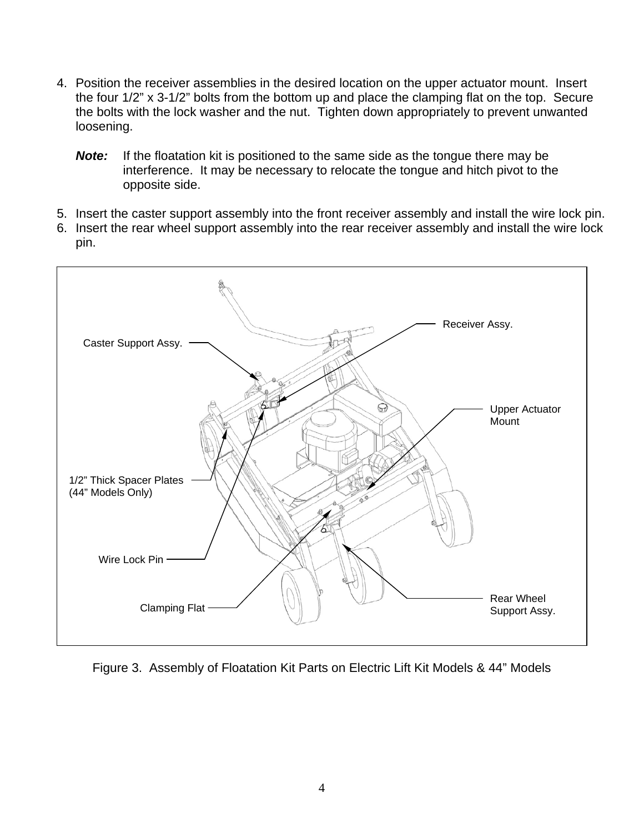- 4. Position the receiver assemblies in the desired location on the upper actuator mount. Insert the four 1/2" x 3-1/2" bolts from the bottom up and place the clamping flat on the top. Secure the bolts with the lock washer and the nut. Tighten down appropriately to prevent unwanted loosening.
	- *Note:* If the floatation kit is positioned to the same side as the tongue there may be interference. It may be necessary to relocate the tongue and hitch pivot to the opposite side.
- 5. Insert the caster support assembly into the front receiver assembly and install the wire lock pin.
- 6. Insert the rear wheel support assembly into the rear receiver assembly and install the wire lock pin.



Figure 3. Assembly of Floatation Kit Parts on Electric Lift Kit Models & 44" Models